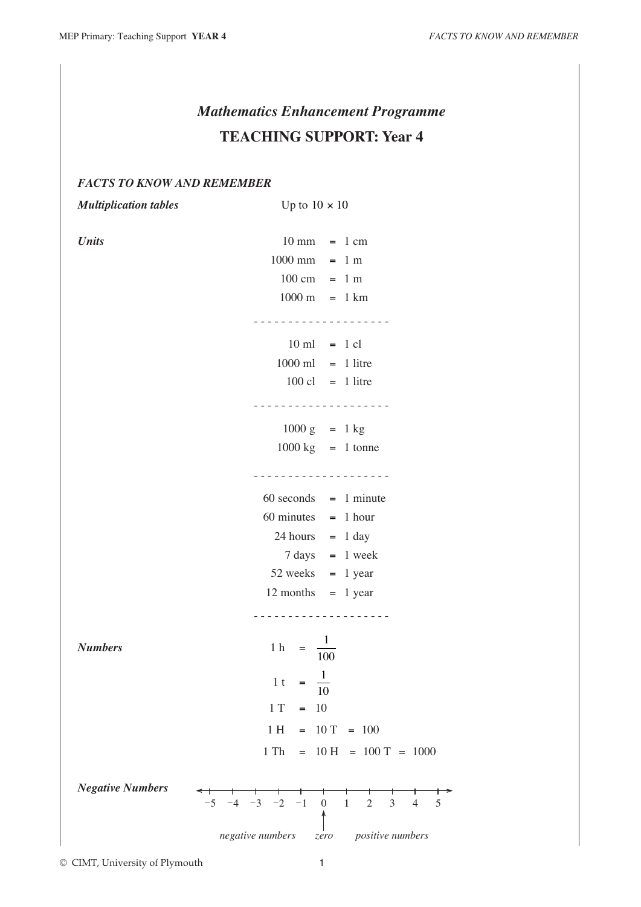# *Mathematics Enhancement Programme* **TEACHING SUPPORT: Year 4**

## *FACTS TO KNOW AND REMEMBER*

*Multiplication tables* Up to  $10 \times 10$ *Units* 10 mm = 1 cm  $1000 \text{ mm} = 1 \text{ m}$  $100 \text{ cm} = 1 \text{ m}$  $1000 \text{ m} = 1 \text{ km}$ - - - - - - - - - - - - - - - - - - - -  $10 \text{ ml} = 1 \text{ cl}$  $1000 \text{ ml} = 1$  litre  $100 \text{ cl} = 1$  litre - - - - - - - - - - - - - - - - - - - -  $1000 \text{ g}$  = 1 kg  $1000 \text{ kg}$  = 1 tonne - - - - - - - - - - - - - - - - - - - -  $60$  seconds  $= 1$  minute  $60$  minutes  $= 1$  hour  $24$  hours = 1 day  $7 \text{ days} = 1 \text{ week}$  $52$  weeks = 1 year  $12$  months  $= 1$  year - - - - - - - - - - - - - - - - - - - - *Numbers* 1 h =  $\frac{1}{10}$ 100 1 t =  $\frac{1}{16}$ 10  $1 T = 10$  $1 H = 10 T = 100$  $1 \text{ Th } = 10 \text{ H } = 100 \text{ T } = 1000$ *Negative Numbers*

© CIMT, University of Plymouth 1

↑

*positive numbers*

5

 $-5$   $-4$   $-3$   $-2$   $-1$  0 1 2 3 4

*negative numbers*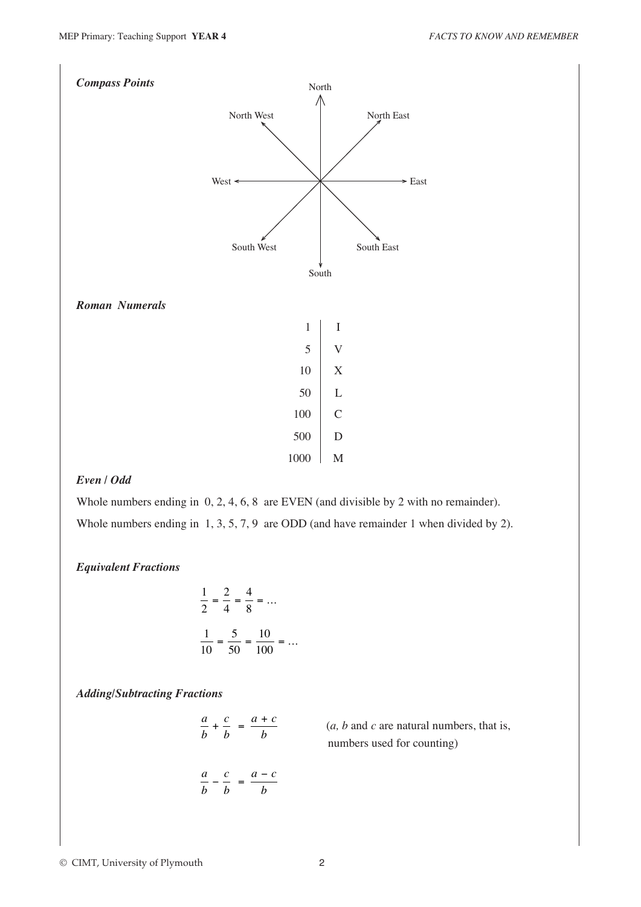

## *Even / Odd*

Whole numbers ending in  $0, 2, 4, 6, 8$  are EVEN (and divisible by 2 with no remainder). Whole numbers ending in 1, 3, 5, 7, 9 are ODD (and have remainder 1 when divided by 2).

#### *Equivalent Fractions*

$$
\frac{1}{2} = \frac{2}{4} = \frac{4}{8} = \dots
$$

$$
\frac{1}{10} = \frac{5}{50} = \frac{10}{100} = \dots
$$

*Adding/Subtracting Fractions*

| a<br>C<br>$- + -$ | $=$ | $a + c$ |
|-------------------|-----|---------|
| b<br>h            |     | h       |
|                   |     |         |

$$
-\frac{c}{b} = \frac{a-c}{b}
$$

*a b*  $(a, b \text{ and } c \text{ are natural numbers, that is,}$ numbers used for counting)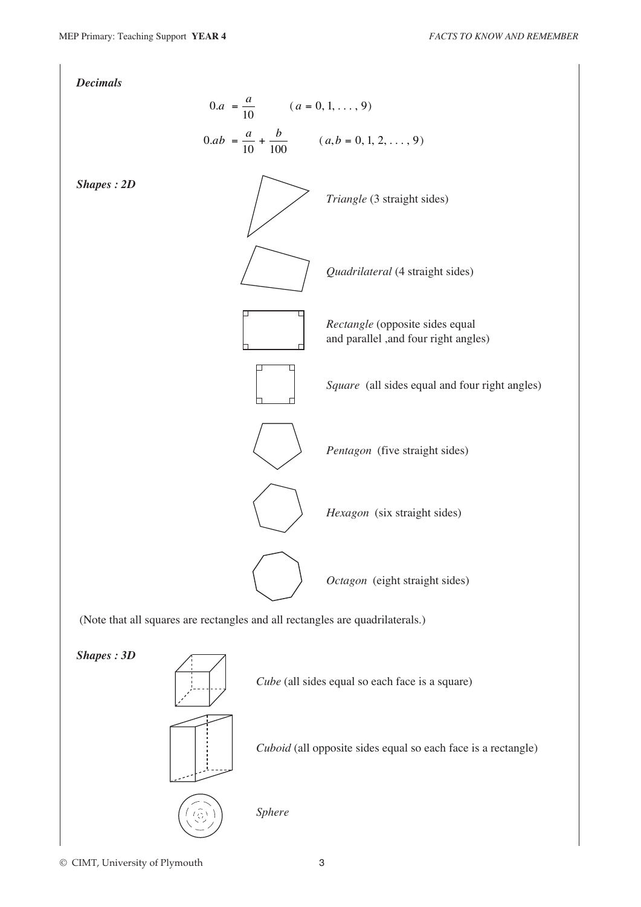

© CIMT, University of Plymouth 3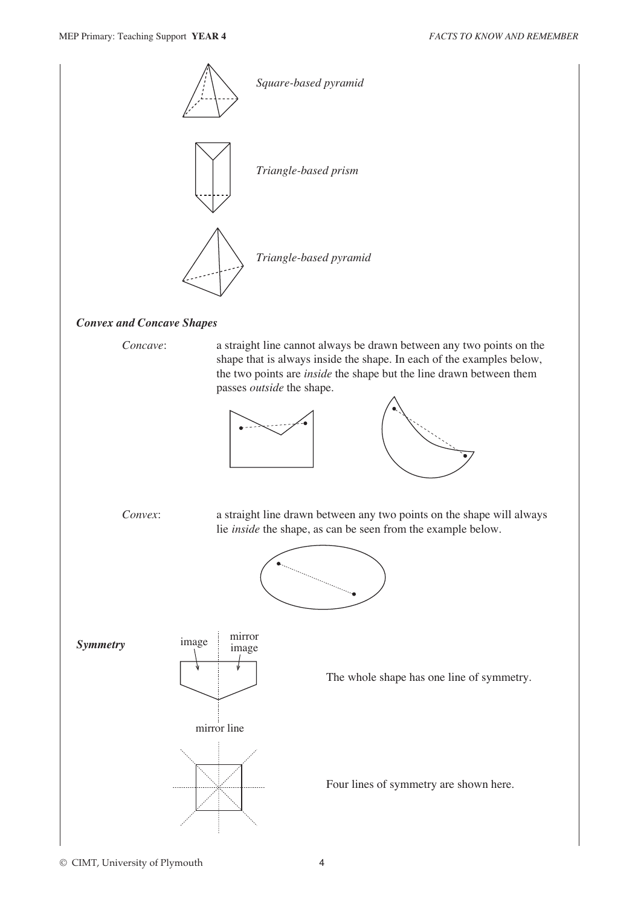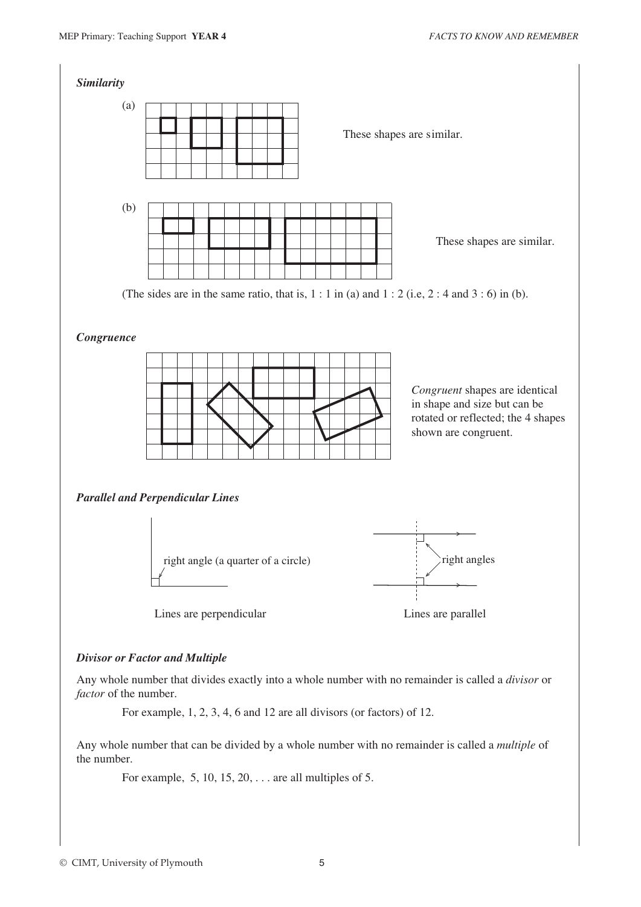

Any whole number that can be divided by a whole number with no remainder is called a *multiple* of the number.

For example, 5, 10, 15, 20, . . . are all multiples of 5.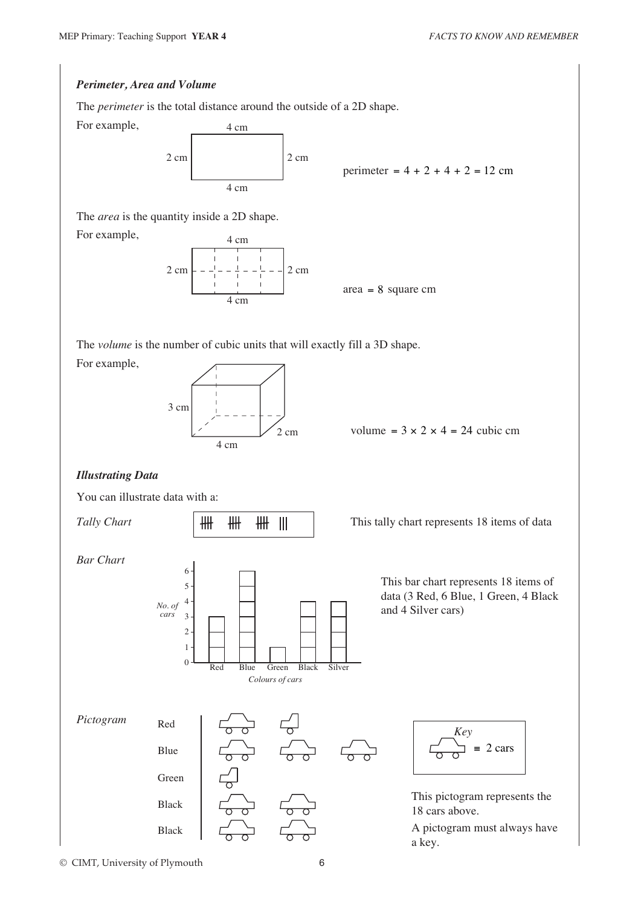### *Perimeter, Area and Volume*

For example,

For example,

The *perimeter* is the total distance around the outside of a 2D shape.

 $2 \text{ cm}$  2 cm 4 cm 4 cm

perimeter =  $4 + 2 + 4 + 2 = 12$  cm

The *area* is the quantity inside a 2D shape.



area = 8 square cm

The *volume* is the number of cubic units that will exactly fill a 3D shape.

For example,



volume =  $3 \times 2 \times 4 = 24$  cubic cm

## *Illustrating Data*

You can illustrate data with a:



© CIMT, University of Plymouth 6